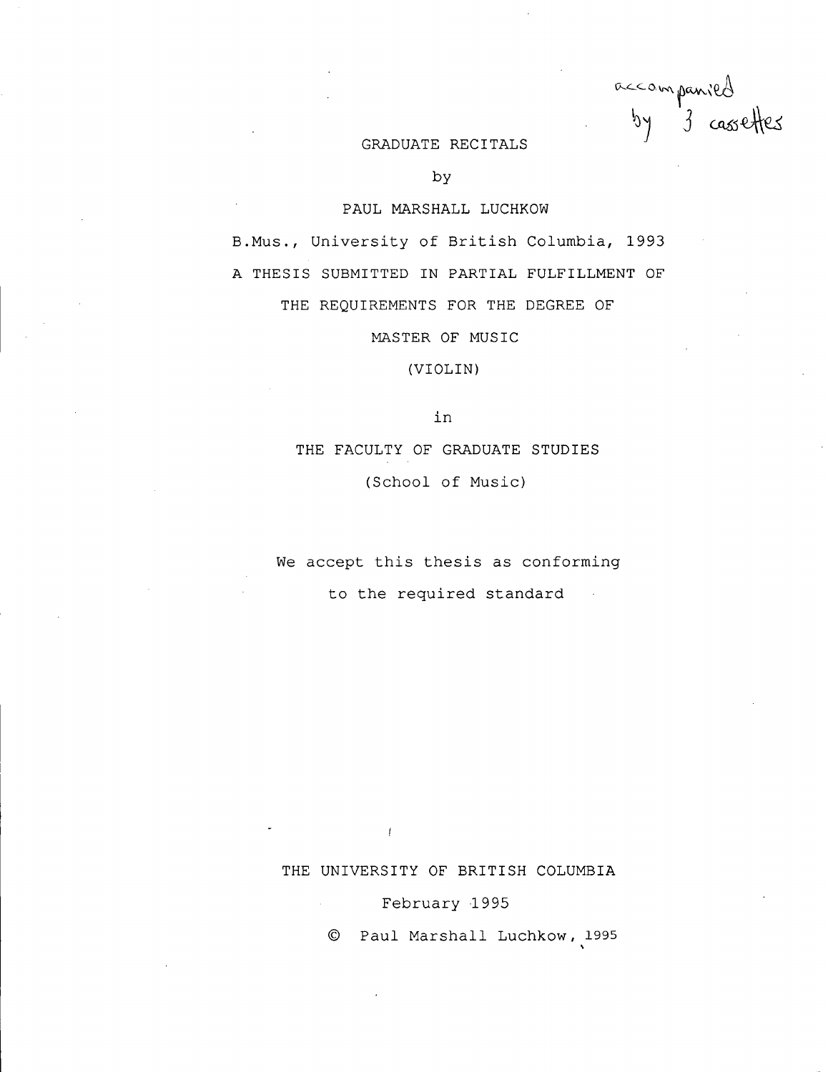accompanied<br>by 3 cassettes  *J <sup>1</sup> <i>J <sup>1</sup> <i>J 1**J 1**J 1**J 1**J 1**J 1**J 1**J 1**J 1**J* 

### **GRADUATE RECITALS**

**by** 

### **PAUL MARSHALL LUCHKOW**

B.Mus., University of British Columbia, 1993 **A THESIS SUBMITTED IN PARTIAL FULFILLMENT OF THE REQUIREMENTS FOR THE DEGREE OF** 

**MASTER OF MUSIC** 

**(VIOLIN)** 

**i n** 

**THE FACULTY OF GRADUATE STUDIES (School o f Music)** 

We accept this thesis as conforming to the required standard  $\sim$   $\epsilon$ 

**THE UNIVERSITY OF BRITISH COLUMBIA** 

## **Februar y** 1995

 $\overline{1}$ 

**© Pau l Marshal l Luchkow, 1995**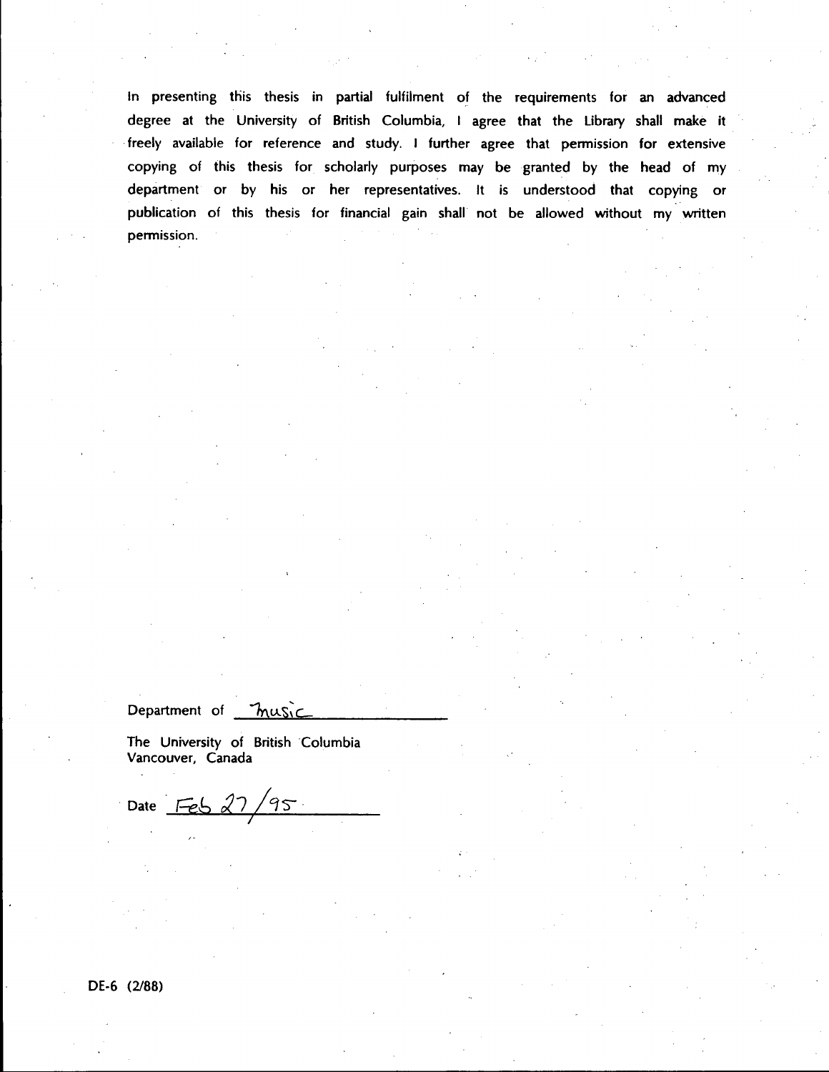**In presenting this thesis in partial fulfilment of the requirements for an advanced degree at the University of British Columbia, I agree that the Library shall make it freely available for reference and study. I further agree that permission for extensive copying of this thesis for scholarly purposes may be granted by the head of my department or by his or her representatives. It is understood that copying or publication of this thesis for financial gain shall not be allowed without my written permission.** 

Department of *music* 

**The University of British Columbia Vancouver, Canada** 

Date  $Fe627/95$ 

**DE-6 (2/88)**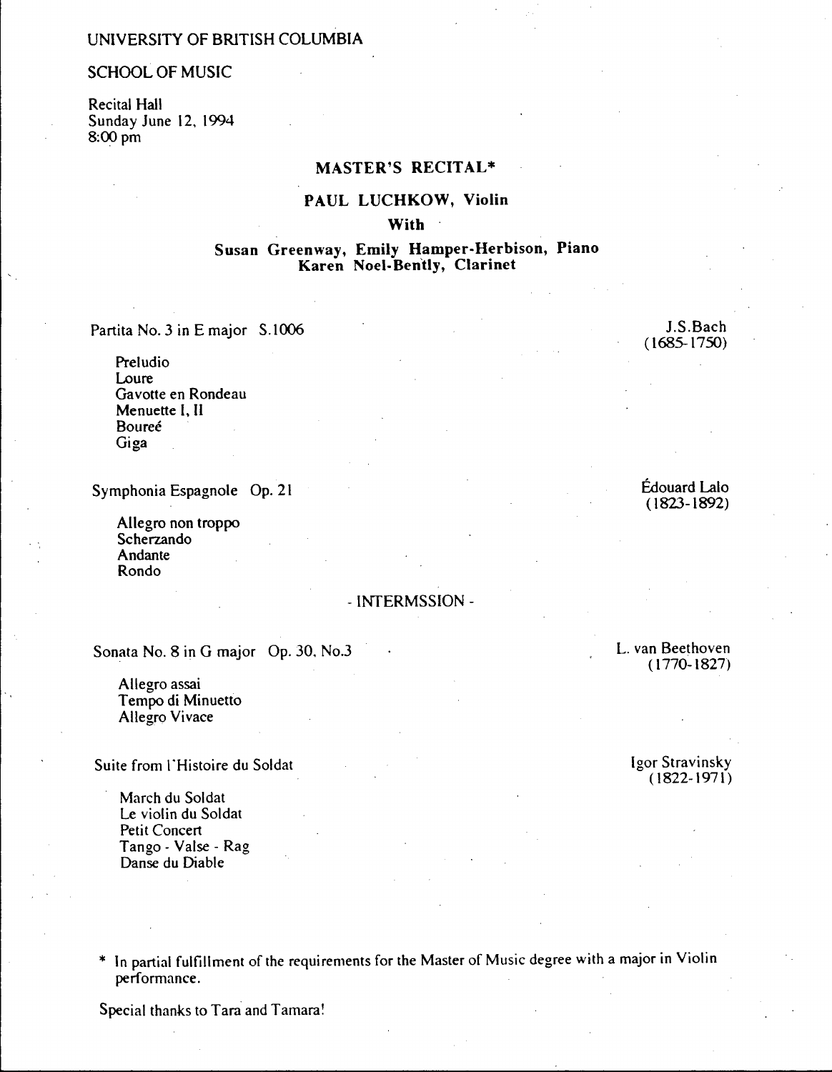# **UNIVERSITY OF BRITISH COLUMBIA**

### **SCHOOL OF MUSIC**

**Recital Hall Sunday June 12, 1994 8:00 pm** 

# **MASTER'S RECITAL\***

### **PAUL LUCHKOW, Violin**

**With** 

# **Susan Greenway, Emily Hamper-Herbison, Piano Karen Noel-Bently, Clarinet**

Partita No. 3 in E major S.1006 J.S.Bach

**Preludio Loure Gavotte en Rondeau Menuette I, II Boureé Giga** 

Symphonia Espagnole Op. 21 **Edouard Lalo** 

**Allegro non troppo Scherzando Andante Rondo** 

# **- INTERMSSION -**

Sonata No. 8 in G major Op. 30, No.3 **•** *L. van Beethoven* **L. van Beethoven** 

**Allegro assai Tempo di Minuetto Allegro Vivace** 

Suite from l'Histoire du Soldat **Igor Stravinsky Igor Stravinsky** 

**March du Soldat Le violin du Soldat Petit Concert Tango - Valse - Rag Danse du Diable** 

**\* In partial fulfillment of the requirements for the Master of Music degree with a major in Violin performance.** 

**Special thanks to Tara and Tamara!** 

**(1685-1750)** 

**(1823-1892)** 

**(1770-1827)** 

**(1822-1971)**